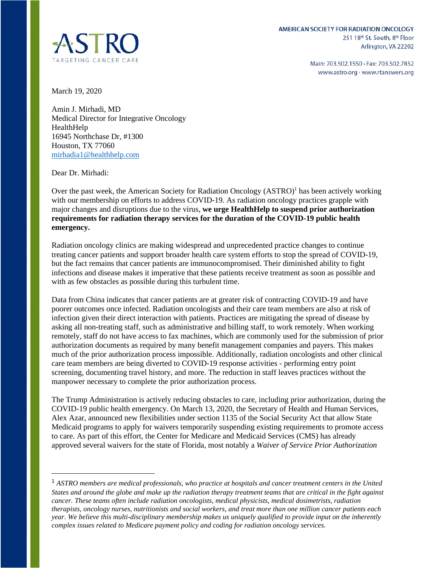

Main: 703.502.1550 · Fax: 703.502.7852 www.astro.org · www.rtanswers.org

March 19, 2020

Amin J. Mirhadi, MD Medical Director for Integrative Oncology HealthHelp 16945 Northchase Dr, #1300 Houston, TX 77060 [mirhadia1@healthhelp.com](mailto:mirhadia1@healthhelp.com) 

Dear Dr. Mirhadi:

Over the past week, the American Society for Radiation Oncology (ASTRO)<sup>1</sup> has been actively working with our membership on efforts to address COVID-19. As radiation oncology practices grapple with major changes and disruptions due to the virus, **we urge HealthHelp to suspend prior authorization requirements for radiation therapy services for the duration of the COVID-19 public health emergency.**

Radiation oncology clinics are making widespread and unprecedented practice changes to continue treating cancer patients and support broader health care system efforts to stop the spread of COVID-19, but the fact remains that cancer patients are immunocompromised. Their diminished ability to fight infections and disease makes it imperative that these patients receive treatment as soon as possible and with as few obstacles as possible during this turbulent time.

Data from China indicates that cancer patients are at greater risk of contracting COVID-19 and have poorer outcomes once infected. Radiation oncologists and their care team members are also at risk of infection given their direct interaction with patients. Practices are mitigating the spread of disease by asking all non-treating staff, such as administrative and billing staff, to work remotely. When working remotely, staff do not have access to fax machines, which are commonly used for the submission of prior authorization documents as required by many benefit management companies and payers. This makes much of the prior authorization process impossible. Additionally, radiation oncologists and other clinical care team members are being diverted to COVID-19 response activities - performing entry point screening, documenting travel history, and more. The reduction in staff leaves practices without the manpower necessary to complete the prior authorization process.

The Trump Administration is actively reducing obstacles to care, including prior authorization, during the COVID-19 public health emergency. On March 13, 2020, the Secretary of Health and Human Services, Alex Azar, announced new flexibilities under section 1135 of the Social Security Act that allow State Medicaid programs to apply for waivers temporarily suspending existing requirements to promote access to care. As part of this effort, the Center for Medicare and Medicaid Services (CMS) has already approved several waivers for the state of Florida, most notably a *Waiver of Service Prior Authorization* 

<sup>1</sup> *ASTRO members are medical professionals, who practice at hospitals and cancer treatment centers in the United States and around the globe and make up the radiation therapy treatment teams that are critical in the fight against cancer. These teams often include radiation oncologists, medical physicists, medical dosimetrists, radiation therapists, oncology nurses, nutritionists and social workers, and treat more than one million cancer patients each year. We believe this multi-disciplinary membership makes us uniquely qualified to provide input on the inherently complex issues related to Medicare payment policy and coding for radiation oncology services.*